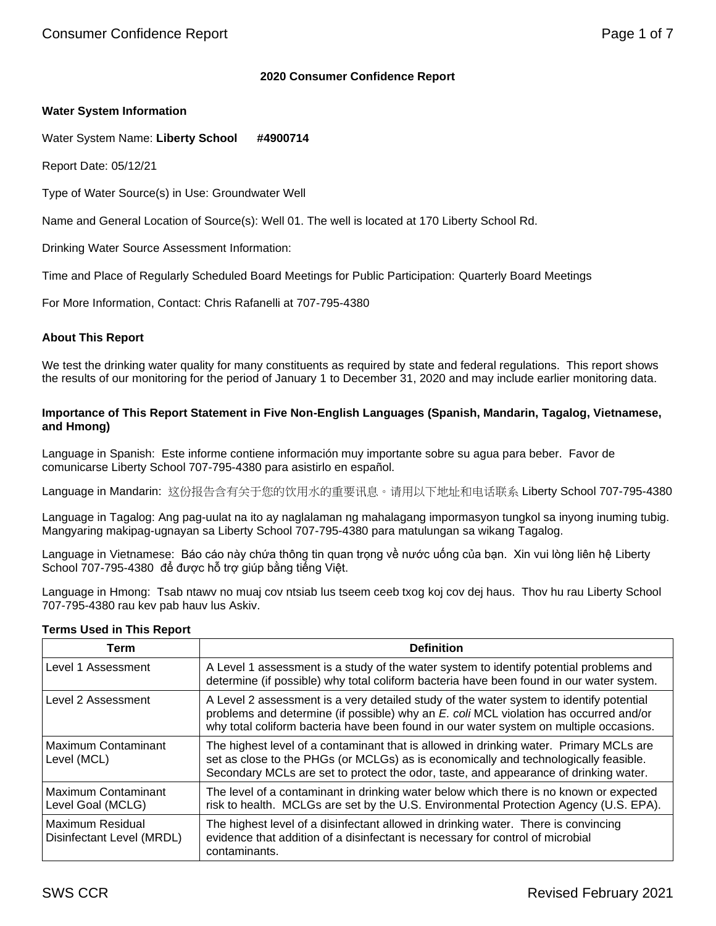# **2020 Consumer Confidence Report**

# **Water System Information**

Water System Name: **Liberty School #4900714**

Report Date: 05/12/21

Type of Water Source(s) in Use: Groundwater Well

Name and General Location of Source(s): Well 01. The well is located at 170 Liberty School Rd.

Drinking Water Source Assessment Information:

Time and Place of Regularly Scheduled Board Meetings for Public Participation: Quarterly Board Meetings

For More Information, Contact: Chris Rafanelli at 707-795-4380

# **About This Report**

We test the drinking water quality for many constituents as required by state and federal regulations. This report shows the results of our monitoring for the period of January 1 to December 31, 2020 and may include earlier monitoring data.

#### **Importance of This Report Statement in Five Non-English Languages (Spanish, Mandarin, Tagalog, Vietnamese, and Hmong)**

Language in Spanish: Este informe contiene información muy importante sobre su agua para beber. Favor de comunicarse Liberty School 707-795-4380 para asistirlo en español.

Language in Mandarin: 这份报告含有关于您的饮用水的重要讯息。请用以下地址和电话联系 Liberty School 707-795-4380

Language in Tagalog: Ang pag-uulat na ito ay naglalaman ng mahalagang impormasyon tungkol sa inyong inuming tubig. Mangyaring makipag-ugnayan sa Liberty School 707-795-4380 para matulungan sa wikang Tagalog.

Language in Vietnamese: Báo cáo này chứa thông tin quan trọng về nước uống của bạn. Xin vui lòng liên hệ Liberty School 707-795-4380 để được hỗ trợ giúp bằng tiếng Việt.

Language in Hmong: Tsab ntawv no muaj cov ntsiab lus tseem ceeb txog koj cov dej haus. Thov hu rau Liberty School 707-795-4380 rau kev pab hauv lus Askiv.

#### **Terms Used in This Report**

| Term                                                 | <b>Definition</b>                                                                                                                                                                                                                                                          |
|------------------------------------------------------|----------------------------------------------------------------------------------------------------------------------------------------------------------------------------------------------------------------------------------------------------------------------------|
| Level 1 Assessment                                   | A Level 1 assessment is a study of the water system to identify potential problems and<br>determine (if possible) why total coliform bacteria have been found in our water system.                                                                                         |
| Level 2 Assessment                                   | A Level 2 assessment is a very detailed study of the water system to identify potential<br>problems and determine (if possible) why an E. coli MCL violation has occurred and/or<br>why total coliform bacteria have been found in our water system on multiple occasions. |
| Maximum Contaminant<br>Level (MCL)                   | The highest level of a contaminant that is allowed in drinking water. Primary MCLs are<br>set as close to the PHGs (or MCLGs) as is economically and technologically feasible.<br>Secondary MCLs are set to protect the odor, taste, and appearance of drinking water.     |
| Maximum Contaminant<br>Level Goal (MCLG)             | The level of a contaminant in drinking water below which there is no known or expected<br>risk to health. MCLGs are set by the U.S. Environmental Protection Agency (U.S. EPA).                                                                                            |
| <b>Maximum Residual</b><br>Disinfectant Level (MRDL) | The highest level of a disinfectant allowed in drinking water. There is convincing<br>evidence that addition of a disinfectant is necessary for control of microbial<br>contaminants.                                                                                      |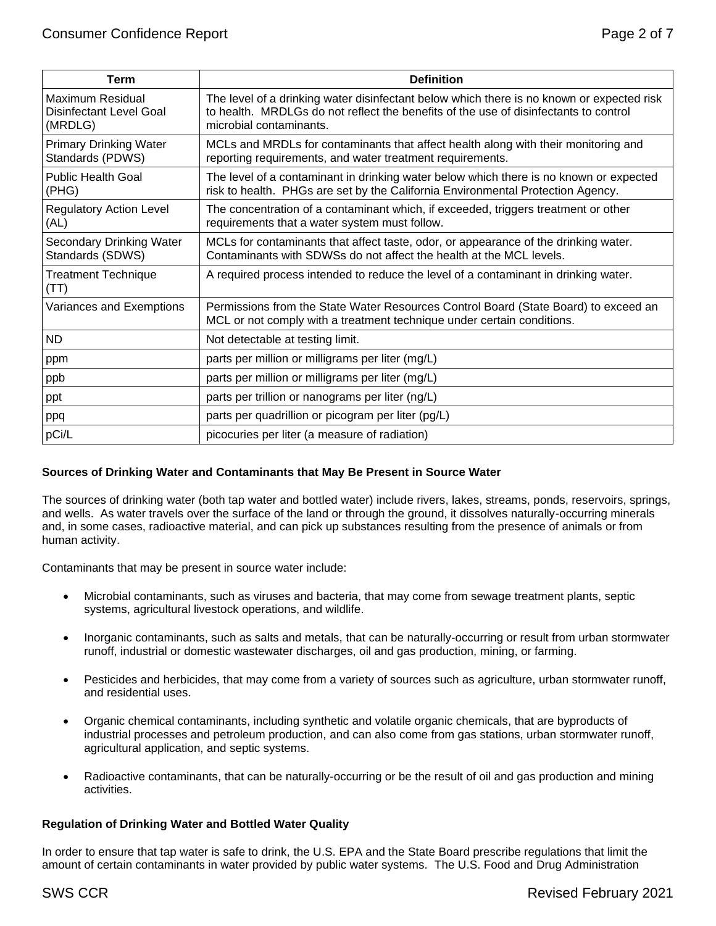| Page 2 of 7 |  |  |
|-------------|--|--|
|             |  |  |

| Term                                                          | <b>Definition</b>                                                                                                                                                                                            |
|---------------------------------------------------------------|--------------------------------------------------------------------------------------------------------------------------------------------------------------------------------------------------------------|
| <b>Maximum Residual</b><br>Disinfectant Level Goal<br>(MRDLG) | The level of a drinking water disinfectant below which there is no known or expected risk<br>to health. MRDLGs do not reflect the benefits of the use of disinfectants to control<br>microbial contaminants. |
| <b>Primary Drinking Water</b><br>Standards (PDWS)             | MCLs and MRDLs for contaminants that affect health along with their monitoring and<br>reporting requirements, and water treatment requirements.                                                              |
| <b>Public Health Goal</b><br>(PHG)                            | The level of a contaminant in drinking water below which there is no known or expected<br>risk to health. PHGs are set by the California Environmental Protection Agency.                                    |
| <b>Regulatory Action Level</b><br>(AL)                        | The concentration of a contaminant which, if exceeded, triggers treatment or other<br>requirements that a water system must follow.                                                                          |
| Secondary Drinking Water<br>Standards (SDWS)                  | MCLs for contaminants that affect taste, odor, or appearance of the drinking water.<br>Contaminants with SDWSs do not affect the health at the MCL levels.                                                   |
| <b>Treatment Technique</b><br>(TT)                            | A required process intended to reduce the level of a contaminant in drinking water.                                                                                                                          |
| Variances and Exemptions                                      | Permissions from the State Water Resources Control Board (State Board) to exceed an<br>MCL or not comply with a treatment technique under certain conditions.                                                |
| <b>ND</b>                                                     | Not detectable at testing limit.                                                                                                                                                                             |
| ppm                                                           | parts per million or milligrams per liter (mg/L)                                                                                                                                                             |
| ppb                                                           | parts per million or milligrams per liter (mg/L)                                                                                                                                                             |
| ppt                                                           | parts per trillion or nanograms per liter (ng/L)                                                                                                                                                             |
| ppq                                                           | parts per quadrillion or picogram per liter (pg/L)                                                                                                                                                           |
| pCi/L                                                         | picocuries per liter (a measure of radiation)                                                                                                                                                                |

# **Sources of Drinking Water and Contaminants that May Be Present in Source Water**

The sources of drinking water (both tap water and bottled water) include rivers, lakes, streams, ponds, reservoirs, springs, and wells. As water travels over the surface of the land or through the ground, it dissolves naturally-occurring minerals and, in some cases, radioactive material, and can pick up substances resulting from the presence of animals or from human activity.

Contaminants that may be present in source water include:

- Microbial contaminants, such as viruses and bacteria, that may come from sewage treatment plants, septic systems, agricultural livestock operations, and wildlife.
- Inorganic contaminants, such as salts and metals, that can be naturally-occurring or result from urban stormwater runoff, industrial or domestic wastewater discharges, oil and gas production, mining, or farming.
- Pesticides and herbicides, that may come from a variety of sources such as agriculture, urban stormwater runoff, and residential uses.
- Organic chemical contaminants, including synthetic and volatile organic chemicals, that are byproducts of industrial processes and petroleum production, and can also come from gas stations, urban stormwater runoff, agricultural application, and septic systems.
- Radioactive contaminants, that can be naturally-occurring or be the result of oil and gas production and mining activities.

# **Regulation of Drinking Water and Bottled Water Quality**

In order to ensure that tap water is safe to drink, the U.S. EPA and the State Board prescribe regulations that limit the amount of certain contaminants in water provided by public water systems. The U.S. Food and Drug Administration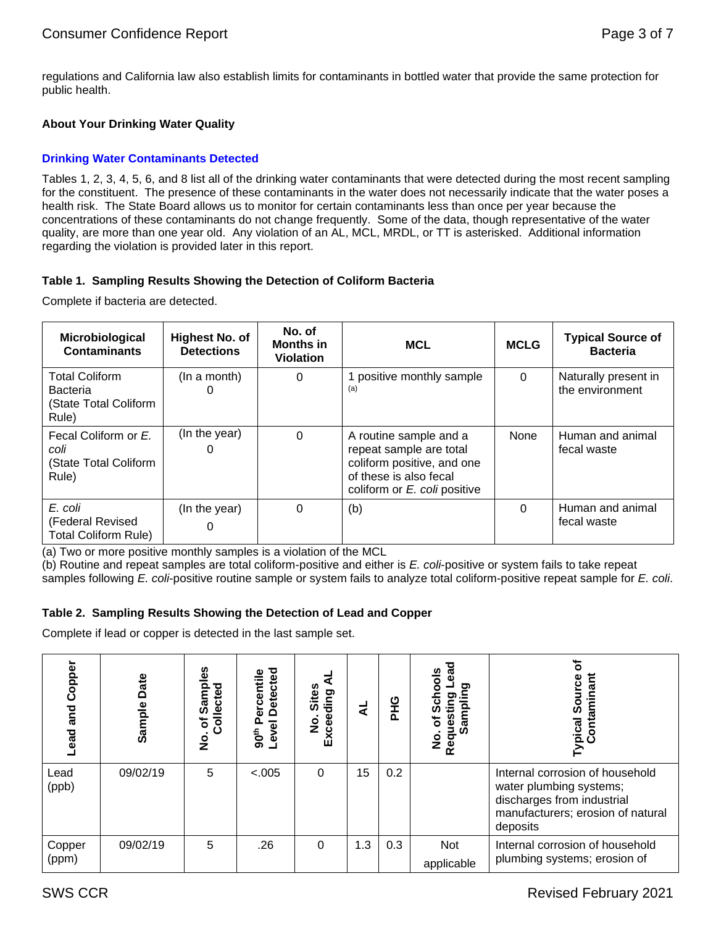regulations and California law also establish limits for contaminants in bottled water that provide the same protection for public health.

# **About Your Drinking Water Quality**

# **Drinking Water Contaminants Detected**

Tables 1, 2, 3, 4, 5, 6, and 8 list all of the drinking water contaminants that were detected during the most recent sampling for the constituent. The presence of these contaminants in the water does not necessarily indicate that the water poses a health risk. The State Board allows us to monitor for certain contaminants less than once per year because the concentrations of these contaminants do not change frequently. Some of the data, though representative of the water quality, are more than one year old. Any violation of an AL, MCL, MRDL, or TT is asterisked. Additional information regarding the violation is provided later in this report.

# **Table 1. Sampling Results Showing the Detection of Coliform Bacteria**

Complete if bacteria are detected.

| <b>Microbiological</b><br><b>Contaminants</b>                              | Highest No. of<br><b>Detections</b> | No. of<br><b>Months in</b><br><b>Violation</b> | <b>MCL</b>                                                                                                                                | <b>MCLG</b> | <b>Typical Source of</b><br><b>Bacteria</b> |
|----------------------------------------------------------------------------|-------------------------------------|------------------------------------------------|-------------------------------------------------------------------------------------------------------------------------------------------|-------------|---------------------------------------------|
| <b>Total Coliform</b><br><b>Bacteria</b><br>(State Total Coliform<br>Rule) | (In a month)                        | 0                                              | positive monthly sample<br>(a)                                                                                                            | $\Omega$    | Naturally present in<br>the environment     |
| Fecal Coliform or E.<br>coli<br>(State Total Coliform<br>Rule)             | (In the year)                       | $\Omega$                                       | A routine sample and a<br>repeat sample are total<br>coliform positive, and one<br>of these is also fecal<br>coliform or E. coli positive | None        | Human and animal<br>fecal waste             |
| E. coli<br>(Federal Revised<br><b>Total Coliform Rule)</b>                 | (In the year)                       | 0                                              | (b)                                                                                                                                       | $\Omega$    | Human and animal<br>fecal waste             |

(a) Two or more positive monthly samples is a violation of the MCL

(b) Routine and repeat samples are total coliform-positive and either is *E. coli*-positive or system fails to take repeat samples following *E. coli*-positive routine sample or system fails to analyze total coliform-positive repeat sample for *E. coli*.

# **Table 2. Sampling Results Showing the Detection of Lead and Copper**

Complete if lead or copper is detected in the last sample set.

| Copper<br>and<br>Lead | Date<br>Sample | ഗ<br>ō<br>ъ<br>). v.<br>Collected<br>Sam<br>৳<br>$\frac{1}{2}$ | <b>Detected</b><br>ercentile<br>Δ.<br>Level<br>90 <sup>th</sup> | <b>Sites</b><br>Exceeding<br>$\overline{2}$ |     | <b>DHG</b> | ලි<br>ය<br>ő<br>o.<br>లై<br>Ω<br>Requesti<br>Sam<br>ō<br>o<br>Z | ypical Source<br>Contaminant                                                                                                              |
|-----------------------|----------------|----------------------------------------------------------------|-----------------------------------------------------------------|---------------------------------------------|-----|------------|-----------------------------------------------------------------|-------------------------------------------------------------------------------------------------------------------------------------------|
| Lead<br>(ppb)         | 09/02/19       | 5                                                              | < .005                                                          | 0                                           | 15  | 0.2        |                                                                 | Internal corrosion of household<br>water plumbing systems;<br>discharges from industrial<br>manufacturers; erosion of natural<br>deposits |
| Copper<br>(ppm)       | 09/02/19       | 5                                                              | .26                                                             | 0                                           | 1.3 | 0.3        | Not<br>applicable                                               | Internal corrosion of household<br>plumbing systems; erosion of                                                                           |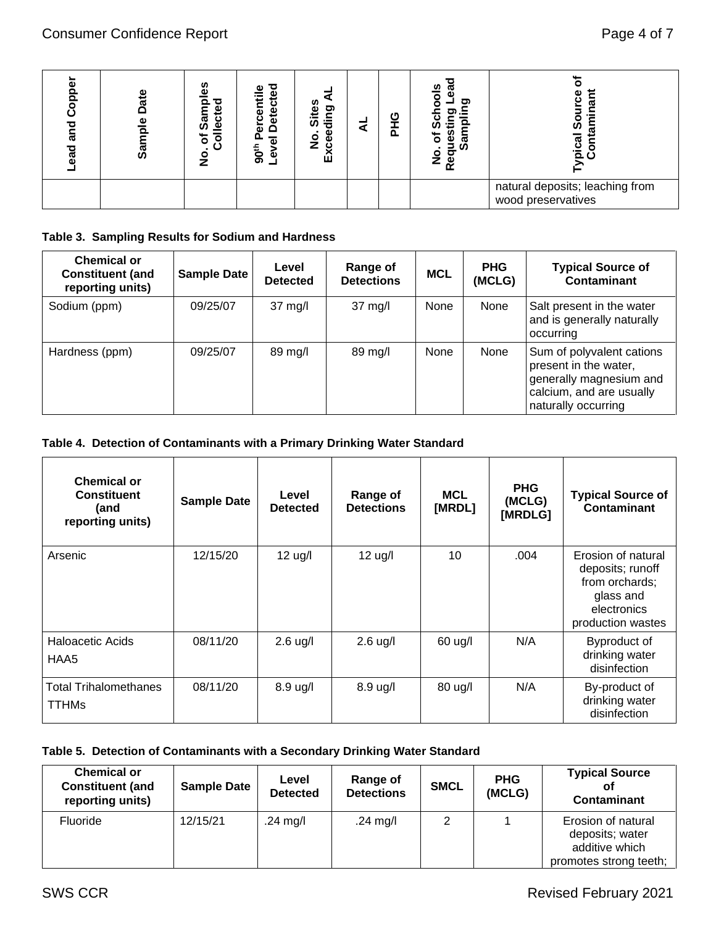| ᅙ<br>ठ<br>ಹ<br>ಕ್ಷಾ | Φ<br>ក<br>កំ<br>ω<br>ō<br>San | ഗ<br>Ф<br>о<br>ω<br>ပ<br>တ္တိ<br>Φ<br>৳<br>$\overline{\bullet}$<br><u>୦</u><br>z | etected<br>ω<br>Φ<br>cen<br>ត<br>≏<br>-<br>ω<br>90 <sup>th</sup><br>٥<br>ᆜ | ding<br>Site<br>Φ<br>$\circ$<br>٥<br>ပ<br>w<br>மி | ပ<br>മ | ທ<br>σ<br>ℼ<br>ω<br>ഗ<br><u>ဇိ</u><br>£. | ᠭᠣ<br>ഗ<br>pica<br>යි                                 |
|---------------------|-------------------------------|----------------------------------------------------------------------------------|----------------------------------------------------------------------------|---------------------------------------------------|--------|------------------------------------------|-------------------------------------------------------|
|                     |                               |                                                                                  |                                                                            |                                                   |        |                                          | natural deposits; leaching from<br>wood preservatives |

# **Table 3. Sampling Results for Sodium and Hardness**

| <b>Chemical or</b><br><b>Constituent (and</b><br>reporting units) | <b>Sample Date</b> | Level<br><b>Detected</b> | <b>Range of</b><br><b>Detections</b> | <b>MCL</b> | <b>PHG</b><br>(MCLG) | <b>Typical Source of</b><br>Contaminant                                                                                          |
|-------------------------------------------------------------------|--------------------|--------------------------|--------------------------------------|------------|----------------------|----------------------------------------------------------------------------------------------------------------------------------|
| Sodium (ppm)                                                      | 09/25/07           | $37 \text{ mg/l}$        | $37 \text{ mg/l}$                    | None       | None                 | Salt present in the water<br>and is generally naturally<br>occurring                                                             |
| Hardness (ppm)                                                    | 09/25/07           | 89 mg/l                  | 89 mg/l                              | None       | None                 | Sum of polyvalent cations<br>present in the water,<br>generally magnesium and<br>calcium, and are usually<br>naturally occurring |

# **Table 4. Detection of Contaminants with a Primary Drinking Water Standard**

| <b>Lead and Copper</b>          | Sample Date                                                          | No. of Samples<br>Collected                                                 | Level Detected<br>90 <sup>th</sup> Percentile | Exceeding AL<br>No. Sites | $\overline{a}$                | <b>PHG</b> | Requesting Lead<br>Sampling<br>No. of Schools |                                 |           | <b>Typical Source of</b><br>Contaminant                                                                                          |
|---------------------------------|----------------------------------------------------------------------|-----------------------------------------------------------------------------|-----------------------------------------------|---------------------------|-------------------------------|------------|-----------------------------------------------|---------------------------------|-----------|----------------------------------------------------------------------------------------------------------------------------------|
|                                 |                                                                      |                                                                             |                                               |                           |                               |            |                                               |                                 |           | natural deposits; leaching from<br>wood preservatives                                                                            |
|                                 |                                                                      | Table 3. Sampling Results for Sodium and Hardness                           |                                               |                           |                               |            |                                               |                                 |           |                                                                                                                                  |
|                                 | <b>Chemical or</b><br><b>Constituent (and</b><br>reporting units)    | <b>Sample Date</b>                                                          | Level<br><b>Detected</b>                      |                           | Range of<br><b>Detections</b> |            | <b>MCL</b>                                    | <b>PHG</b><br>(MCLG)            |           | <b>Typical Source of</b><br><b>Contaminant</b>                                                                                   |
| Sodium (ppm)                    |                                                                      | 09/25/07                                                                    | 37 mg/l                                       |                           | 37 mg/l                       |            | None                                          | None                            | occurring | Salt present in the water<br>and is generally naturally                                                                          |
| Hardness (ppm)                  |                                                                      | 09/25/07                                                                    | 89 mg/l                                       |                           | 89 mg/l                       |            | None                                          | None                            |           | Sum of polyvalent cations<br>present in the water,<br>generally magnesium and<br>calcium, and are usually<br>naturally occurring |
|                                 |                                                                      | Table 4. Detection of Contaminants with a Primary Drinking Water Standard   |                                               |                           |                               |            |                                               |                                 |           |                                                                                                                                  |
|                                 | <b>Chemical or</b><br><b>Constituent</b><br>(and<br>reporting units) | <b>Sample Date</b>                                                          |                                               | Level<br><b>Detected</b>  | Range of<br><b>Detections</b> |            | <b>MCL</b><br>[MRDL]                          | <b>PHG</b><br>(MCLG)<br>[MRDLG] |           | <b>Typical Source of</b><br><b>Contaminant</b>                                                                                   |
| Arsenic                         |                                                                      | 12/15/20                                                                    |                                               | $12$ ug/l                 | $12$ ug/l                     |            | 10                                            | .004                            |           | Erosion of natural<br>deposits; runoff<br>from orchards;<br>glass and<br>electronics<br>production wastes                        |
| <b>Haloacetic Acids</b><br>HAA5 |                                                                      | 08/11/20                                                                    |                                               | $2.6$ ug/l                | $2.6$ ug/l                    |            | 60 ug/l                                       | N/A                             |           | Byproduct of<br>drinking water<br>disinfection                                                                                   |
| <b>TTHMs</b>                    | <b>Total Trihalomethanes</b>                                         | 08/11/20                                                                    |                                               | 8.9 ug/l                  | 8.9 ug/l                      |            | 80 ug/l                                       | N/A                             |           | By-product of<br>drinking water<br>disinfection                                                                                  |
|                                 |                                                                      | Table 5. Detection of Contaminants with a Secondary Drinking Water Standard |                                               |                           |                               |            |                                               |                                 |           |                                                                                                                                  |
|                                 | <b>Chemical or</b><br><b>Constituent (and</b><br>reporting units)    | <b>Sample Date</b>                                                          |                                               | Level<br><b>Detected</b>  | Range of<br><b>Detections</b> |            | <b>SMCL</b>                                   | <b>PHG</b><br>(MCLG)            |           | <b>Typical Source</b><br>οf<br><b>Contaminant</b>                                                                                |
| Fluoride                        |                                                                      | 12/15/21                                                                    | .24 $mg/l$                                    |                           | .24 $mg/l$                    |            | $\overline{2}$                                | 1                               |           | Erosion of natural<br>deposits; water<br>additive which<br>promotes strong teeth;                                                |
| <b>SWS CCR</b>                  |                                                                      |                                                                             |                                               |                           |                               |            |                                               |                                 |           | <b>Revised February 2021</b>                                                                                                     |

# **Table 5. Detection of Contaminants with a Secondary Drinking Water Standard**

| <b>Chemical or</b><br><b>Constituent (and</b><br>reporting units) | <b>Sample Date</b> | Level<br><b>Detected</b> | Range of<br><b>Detections</b> | <b>SMCL</b> | <b>PHG</b><br>(MCLG) | <b>Typical Source</b><br><b>Contaminant</b>                                       |
|-------------------------------------------------------------------|--------------------|--------------------------|-------------------------------|-------------|----------------------|-----------------------------------------------------------------------------------|
| <b>Fluoride</b>                                                   | 12/15/21           | .24 mg/l                 | .24 mg/l                      | 2           |                      | Erosion of natural<br>deposits; water<br>additive which<br>promotes strong teeth; |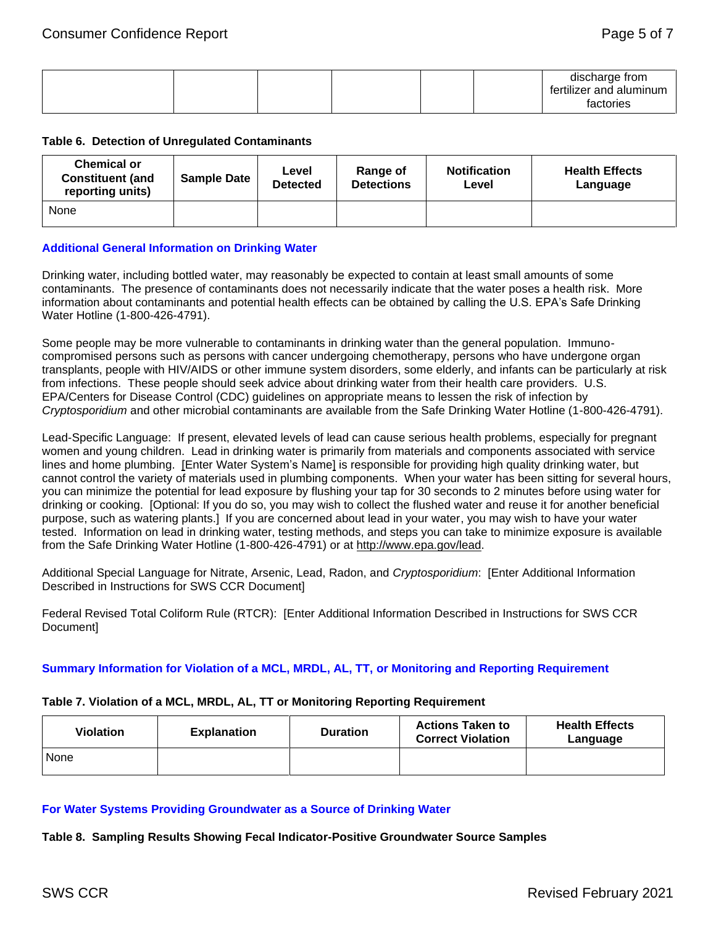|  |  |  | discharge from          |
|--|--|--|-------------------------|
|  |  |  | tertilizer and aluminum |
|  |  |  | factories               |

#### **Table 6. Detection of Unregulated Contaminants**

| <b>Chemical or</b><br><b>Constituent (and</b><br>reporting units) | <b>Sample Date</b> | Level<br><b>Detected</b> | Range of<br><b>Detections</b> | <b>Notification</b><br>Level | <b>Health Effects</b><br>Language |
|-------------------------------------------------------------------|--------------------|--------------------------|-------------------------------|------------------------------|-----------------------------------|
| None                                                              |                    |                          |                               |                              |                                   |

# **Additional General Information on Drinking Water**

Drinking water, including bottled water, may reasonably be expected to contain at least small amounts of some contaminants. The presence of contaminants does not necessarily indicate that the water poses a health risk. More information about contaminants and potential health effects can be obtained by calling the U.S. EPA's Safe Drinking Water Hotline (1-800-426-4791).

Some people may be more vulnerable to contaminants in drinking water than the general population. Immunocompromised persons such as persons with cancer undergoing chemotherapy, persons who have undergone organ transplants, people with HIV/AIDS or other immune system disorders, some elderly, and infants can be particularly at risk from infections. These people should seek advice about drinking water from their health care providers. U.S. EPA/Centers for Disease Control (CDC) guidelines on appropriate means to lessen the risk of infection by *Cryptosporidium* and other microbial contaminants are available from the Safe Drinking Water Hotline (1-800-426-4791).

Lead-Specific Language: If present, elevated levels of lead can cause serious health problems, especially for pregnant women and young children. Lead in drinking water is primarily from materials and components associated with service lines and home plumbing. [Enter Water System's Name] is responsible for providing high quality drinking water, but cannot control the variety of materials used in plumbing components. When your water has been sitting for several hours, you can minimize the potential for lead exposure by flushing your tap for 30 seconds to 2 minutes before using water for drinking or cooking. [Optional: If you do so, you may wish to collect the flushed water and reuse it for another beneficial purpose, such as watering plants.] If you are concerned about lead in your water, you may wish to have your water tested. Information on lead in drinking water, testing methods, and steps you can take to minimize exposure is available from the Safe Drinking Water Hotline (1-800-426-4791) or at [http://www.epa.gov/lead.](http://www.epa.gov/lead)

Additional Special Language for Nitrate, Arsenic, Lead, Radon, and *Cryptosporidium*: [Enter Additional Information Described in Instructions for SWS CCR Document]

Federal Revised Total Coliform Rule (RTCR): [Enter Additional Information Described in Instructions for SWS CCR Document]

# **Summary Information for Violation of a MCL, MRDL, AL, TT, or Monitoring and Reporting Requirement**

#### **Table 7. Violation of a MCL, MRDL, AL, TT or Monitoring Reporting Requirement**

| <b>Violation</b> | <b>Explanation</b> | <b>Duration</b> | <b>Actions Taken to</b><br><b>Correct Violation</b> | <b>Health Effects</b><br>Language |
|------------------|--------------------|-----------------|-----------------------------------------------------|-----------------------------------|
| <b>None</b>      |                    |                 |                                                     |                                   |

#### **For Water Systems Providing Groundwater as a Source of Drinking Water**

**Table 8. Sampling Results Showing Fecal Indicator-Positive Groundwater Source Samples**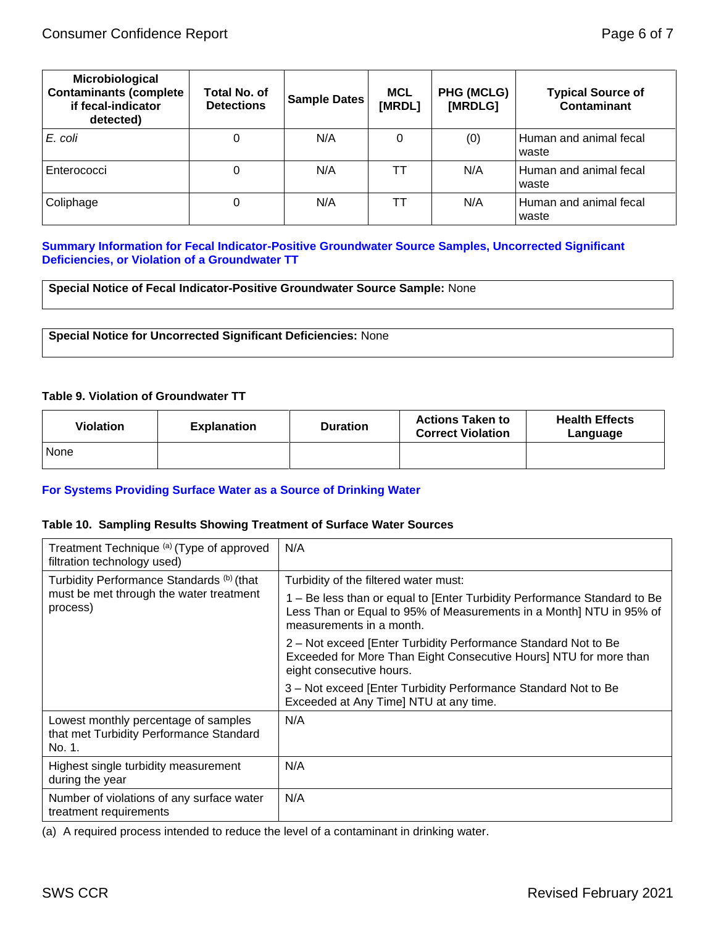| Microbiological<br><b>Contaminants (complete</b><br>if fecal-indicator<br>detected) | Total No. of<br><b>Detections</b> | <b>Sample Dates</b> | <b>MCL</b><br>[MRDL] | <b>PHG (MCLG)</b><br>[MRDLG] | <b>Typical Source of</b><br>Contaminant |
|-------------------------------------------------------------------------------------|-----------------------------------|---------------------|----------------------|------------------------------|-----------------------------------------|
| E. coli                                                                             |                                   | N/A                 | 0                    | (0)                          | Human and animal fecal<br>waste         |
| Enterococci                                                                         |                                   | N/A                 | ГΤ                   | N/A                          | Human and animal fecal<br>waste         |
| Coliphage                                                                           |                                   | N/A                 |                      | N/A                          | Human and animal fecal<br>waste         |

# **Summary Information for Fecal Indicator-Positive Groundwater Source Samples, Uncorrected Significant Deficiencies, or Violation of a Groundwater TT**

**Special Notice of Fecal Indicator-Positive Groundwater Source Sample:** None

**Special Notice for Uncorrected Significant Deficiencies:** None

#### **Table 9. Violation of Groundwater TT**

| Violation | <b>Explanation</b> | <b>Duration</b> | <b>Actions Taken to</b><br><b>Correct Violation</b> | <b>Health Effects</b><br>Language |
|-----------|--------------------|-----------------|-----------------------------------------------------|-----------------------------------|
| None      |                    |                 |                                                     |                                   |

#### **For Systems Providing Surface Water as a Source of Drinking Water**

### **Table 10. Sampling Results Showing Treatment of Surface Water Sources**

| Treatment Technique (a) (Type of approved<br>filtration technology used)                  | N/A                                                                                                                                                                         |  |  |
|-------------------------------------------------------------------------------------------|-----------------------------------------------------------------------------------------------------------------------------------------------------------------------------|--|--|
| Turbidity Performance Standards (b) (that                                                 | Turbidity of the filtered water must:                                                                                                                                       |  |  |
| must be met through the water treatment<br>process)                                       | 1 – Be less than or equal to [Enter Turbidity Performance Standard to Be<br>Less Than or Equal to 95% of Measurements in a Month] NTU in 95% of<br>measurements in a month. |  |  |
|                                                                                           | 2 – Not exceed [Enter Turbidity Performance Standard Not to Be<br>Exceeded for More Than Eight Consecutive Hours] NTU for more than<br>eight consecutive hours.             |  |  |
|                                                                                           | 3 – Not exceed [Enter Turbidity Performance Standard Not to Be<br>Exceeded at Any Time] NTU at any time.                                                                    |  |  |
| Lowest monthly percentage of samples<br>that met Turbidity Performance Standard<br>No. 1. | N/A                                                                                                                                                                         |  |  |
| Highest single turbidity measurement<br>during the year                                   | N/A                                                                                                                                                                         |  |  |
| Number of violations of any surface water<br>treatment requirements                       | N/A                                                                                                                                                                         |  |  |

(a) A required process intended to reduce the level of a contaminant in drinking water.